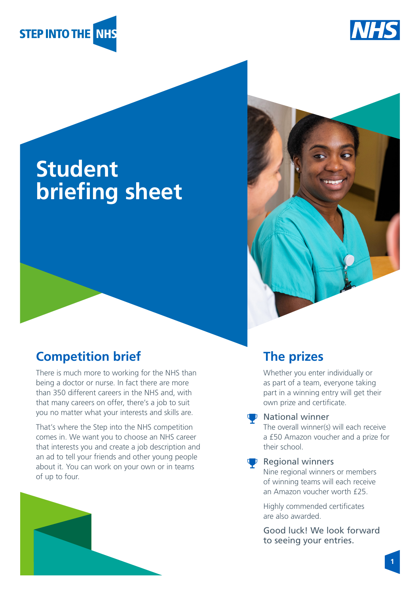



# **Student briefing sheet**

# **Competition brief**

There is much more to working for the NHS than being a doctor or nurse. In fact there are more than 350 different careers in the NHS and, with that many careers on offer, there's a job to suit you no matter what your interests and skills are.

That's where the Step into the NHS competition comes in. We want you to choose an NHS career that interests you and create a job description and an ad to tell your friends and other young people about it. You can work on your own or in teams of up to four.





# **The prizes**

Whether you enter individually or as part of a team, everyone taking part in a winning entry will get their own prize and certificate.

#### **U** National winner

The overall winner(s) will each receive a £50 Amazon voucher and a prize for their school.

#### $\mathbf{\nabla}$  Regional winners

Nine regional winners or members of winning teams will each receive an Amazon voucher worth £25.

Highly commended certificates are also awarded.

Good luck! We look forward to seeing your entries.